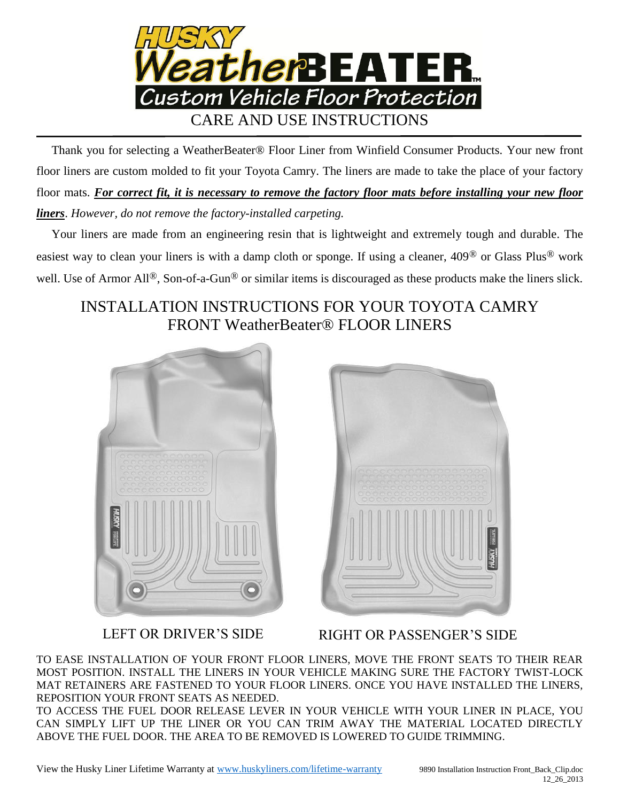

 Thank you for selecting a WeatherBeater® Floor Liner from Winfield Consumer Products. Your new front floor liners are custom molded to fit your Toyota Camry. The liners are made to take the place of your factory floor mats. *For correct fit, it is necessary to remove the factory floor mats before installing your new floor liners*. *However, do not remove the factory-installed carpeting.*

 Your liners are made from an engineering resin that is lightweight and extremely tough and durable. The easiest way to clean your liners is with a damp cloth or sponge. If using a cleaner, 409® or Glass Plus® work well. Use of Armor All<sup>®</sup>, Son-of-a-Gun<sup>®</sup> or similar items is discouraged as these products make the liners slick.

## INSTALLATION INSTRUCTIONS FOR YOUR TOYOTA CAMRY FRONT WeatherBeater® FLOOR LINERS





LEFT OR DRIVER'S SIDE RIGHT OR PASSENGER'S SIDE

TO EASE INSTALLATION OF YOUR FRONT FLOOR LINERS, MOVE THE FRONT SEATS TO THEIR REAR MOST POSITION. INSTALL THE LINERS IN YOUR VEHICLE MAKING SURE THE FACTORY TWIST-LOCK MAT RETAINERS ARE FASTENED TO YOUR FLOOR LINERS. ONCE YOU HAVE INSTALLED THE LINERS, REPOSITION YOUR FRONT SEATS AS NEEDED.

TO ACCESS THE FUEL DOOR RELEASE LEVER IN YOUR VEHICLE WITH YOUR LINER IN PLACE, YOU CAN SIMPLY LIFT UP THE LINER OR YOU CAN TRIM AWAY THE MATERIAL LOCATED DIRECTLY ABOVE THE FUEL DOOR. THE AREA TO BE REMOVED IS LOWERED TO GUIDE TRIMMING.